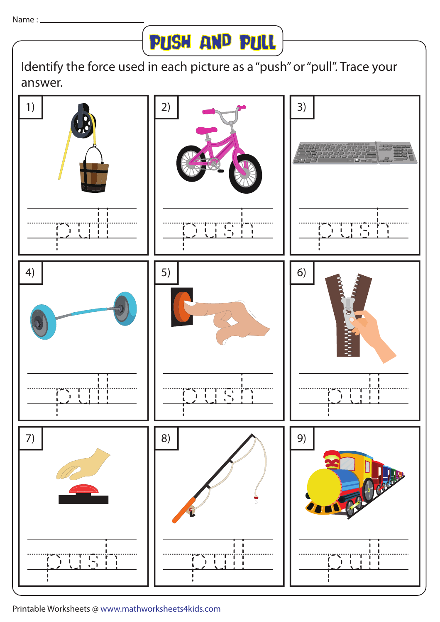

Identify the force used in each picture as a "push" or "pull". Trace your answer.



Printable Worksheets @ www.mathworksheets4kids.com